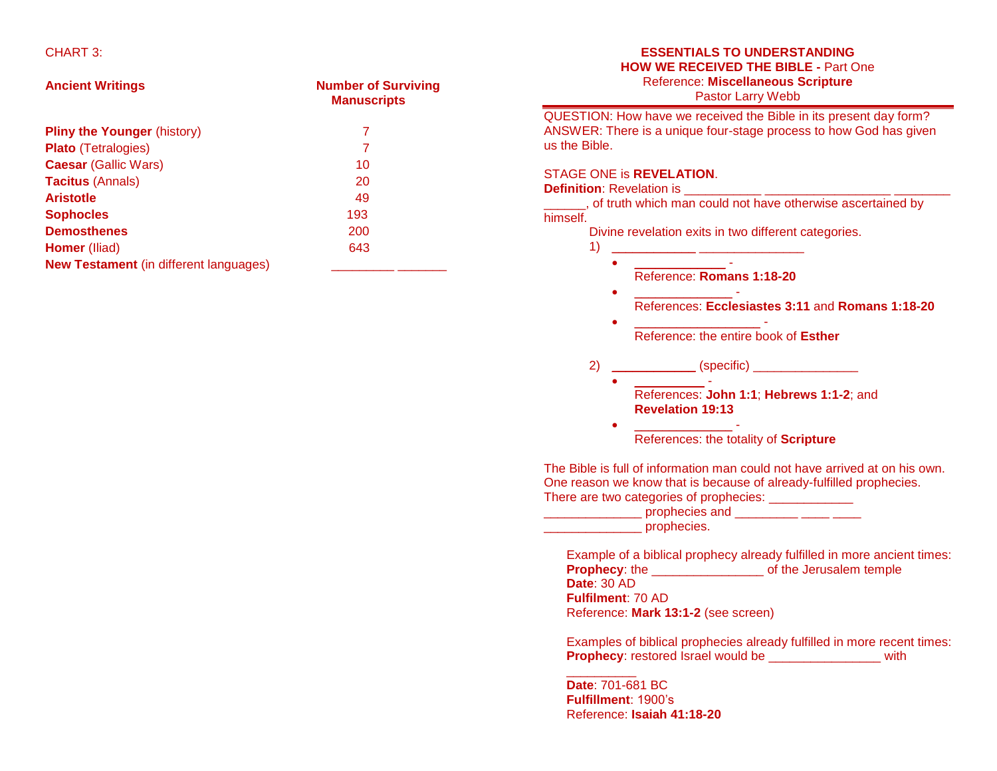### CHART 3:

| <b>Ancient Writings</b>                       | <b>Number of Surviving</b><br><b>Manuscripts</b> |
|-----------------------------------------------|--------------------------------------------------|
| <b>Pliny the Younger (history)</b>            | 7                                                |
| <b>Plato</b> (Tetralogies)                    | 7                                                |
| <b>Caesar (Gallic Wars)</b>                   | 10                                               |
| <b>Tacitus (Annals)</b>                       | 20                                               |
| <b>Aristotle</b>                              | 49                                               |
| <b>Sophocles</b>                              | 193                                              |
| <b>Demosthenes</b>                            | 200                                              |
| <b>Homer</b> (Iliad)                          | 643                                              |
| <b>New Testament</b> (in different languages) |                                                  |

### **ESSENTIALS TO UNDERSTANDING HOW WE RECEIVED THE BIBLE -** Part One Reference: **Miscellaneous Scripture**

Pastor Larry Webb

QUESTION: How have we received the Bible in its present day form? ANSWER: There is a unique four-stage process to how God has given us the Bible.

### STAGE ONE is **REVELATION**.

#### **Definition**: Revelation is \_\_\_\_\_\_\_\_\_\_\_ \_\_\_\_\_\_\_\_\_\_\_\_\_\_\_\_\_\_ \_\_\_\_\_\_\_\_

*\_\_\_\_\_\_*, of truth which man could not have otherwise ascertained by himself.

> Divine revelation exits in two different categories.  $1)$  \_

- $\bullet$  . The set of the set of the set of the set of the set of the set of the set of the set of the set of the set of the set of the set of the set of the set of the set of the set of the set of the set of the set of the s Reference: **Romans 1:18-20**
- $\bullet$  . <u>\_\_\_\_\_\_\_\_\_\_\_\_</u> -References: **Ecclesiastes 3:11** and **Romans 1:18-20**
- \_\_\_\_\_\_\_\_\_\_\_\_\_\_\_\_\_\_ Reference: the entire book of **Esther**
- 2) \_\_\_\_\_\_\_\_\_\_\_\_ (specific) \_\_\_\_\_\_\_\_\_\_\_\_\_\_\_
	- $\bullet$   $\qquad$   $\qquad$  -References: **John 1:1**; **Hebrews 1:1-2**; and **Revelation 19:13**
	- **.** \_\_\_\_\_\_\_\_\_\_\_\_\_\_\_\_\_\_\_\_\_\_\_ -References: the totality of **Scripture**

The Bible is full of information man could not have arrived at on his own. One reason we know that is because of already-fulfilled prophecies. There are two categories of prophecies:

| prophecies and |  |
|----------------|--|
| prophecies.    |  |

Example of a biblical prophecy already fulfilled in more ancient times: **Prophecy**: the \_\_\_\_\_\_\_\_\_\_\_\_\_\_\_\_ of the Jerusalem temple **Date**: 30 AD **Fulfilment**: 70 AD Reference: **Mark 13:1-2** (see screen)

Examples of biblical prophecies already fulfilled in more recent times: **Prophecy**: restored Israel would be \_\_\_\_\_\_\_\_\_\_\_\_\_\_\_\_ with

**Date**: 701-681 BC **Fulfillment**: 1900's Reference: **Isaiah 41:18-20**

 $\overline{\phantom{a}}$  , where  $\overline{\phantom{a}}$